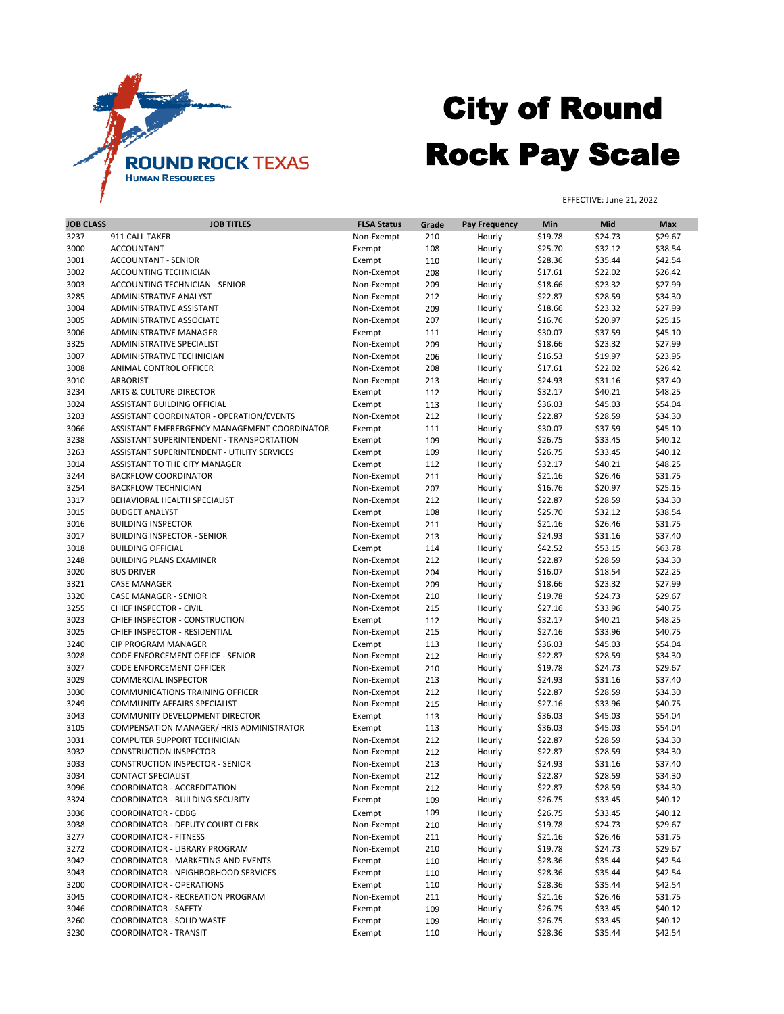| <b>JOB CLASS</b> | <b>JOB TITLES</b>                               | <b>FLSA Status</b> | Grade | <b>Pay Frequency</b> | Min     | <b>Mid</b> | <b>Max</b> |
|------------------|-------------------------------------------------|--------------------|-------|----------------------|---------|------------|------------|
| 3237             | 911 CALL TAKER                                  | Non-Exempt         | 210   | Hourly               | \$19.78 | \$24.73    | \$29.67    |
| 3000             | <b>ACCOUNTANT</b>                               | Exempt             | 108   | Hourly               | \$25.70 | \$32.12    | \$38.54    |
| 3001             | <b>ACCOUNTANT - SENIOR</b>                      | Exempt             | 110   | Hourly               | \$28.36 | \$35.44    | \$42.54    |
| 3002             | <b>ACCOUNTING TECHNICIAN</b>                    | Non-Exempt         | 208   | Hourly               | \$17.61 | \$22.02    | \$26.42    |
| 3003             | ACCOUNTING TECHNICIAN - SENIOR                  | Non-Exempt         | 209   | Hourly               | \$18.66 | \$23.32    | \$27.99    |
| 3285             | ADMINISTRATIVE ANALYST                          | Non-Exempt         | 212   | Hourly               | \$22.87 | \$28.59    | \$34.30    |
| 3004             | ADMINISTRATIVE ASSISTANT                        | Non-Exempt         | 209   | Hourly               | \$18.66 | \$23.32    | \$27.99    |
| 3005             | ADMINISTRATIVE ASSOCIATE                        | Non-Exempt         | 207   | Hourly               | \$16.76 | \$20.97    | \$25.15    |
| 3006             | <b>ADMINISTRATIVE MANAGER</b>                   | Exempt             | 111   | Hourly               | \$30.07 | \$37.59    | \$45.10    |
| 3325             | ADMINISTRATIVE SPECIALIST                       |                    | 209   |                      | \$18.66 | \$23.32    | \$27.99    |
|                  |                                                 | Non-Exempt         |       | Hourly               |         |            |            |
| 3007             | ADMINISTRATIVE TECHNICIAN                       | Non-Exempt         | 206   | Hourly               | \$16.53 | \$19.97    | \$23.95    |
| 3008             | ANIMAL CONTROL OFFICER                          | Non-Exempt         | 208   | Hourly               | \$17.61 | \$22.02    | \$26.42    |
| 3010             | <b>ARBORIST</b>                                 | Non-Exempt         | 213   | Hourly               | \$24.93 | \$31.16    | \$37.40    |
| 3234             | <b>ARTS &amp; CULTURE DIRECTOR</b>              | Exempt             | 112   | Hourly               | \$32.17 | \$40.21    | \$48.25    |
| 3024             | ASSISTANT BUILDING OFFICIAL                     | Exempt             | 113   | Hourly               | \$36.03 | \$45.03    | \$54.04    |
| 3203             | <b>ASSISTANT COORDINATOR - OPERATION/EVENTS</b> | Non-Exempt         | 212   | Hourly               | \$22.87 | \$28.59    | \$34.30    |
| 3066             | ASSISTANT EMERERGENCY MANAGEMENT COORDINATOR    | Exempt             | 111   | Hourly               | \$30.07 | \$37.59    | \$45.10    |
| 3238             | ASSISTANT SUPERINTENDENT - TRANSPORTATION       | Exempt             | 109   | Hourly               | \$26.75 | \$33.45    | \$40.12    |
| 3263             | ASSISTANT SUPERINTENDENT - UTILITY SERVICES     | Exempt             | 109   | Hourly               | \$26.75 | \$33.45    | \$40.12    |
| 3014             | ASSISTANT TO THE CITY MANAGER                   | Exempt             | 112   | Hourly               | \$32.17 | \$40.21    | \$48.25    |
| 3244             | <b>BACKFLOW COORDINATOR</b>                     | Non-Exempt         | 211   | Hourly               | \$21.16 | \$26.46    | \$31.75    |
| 3254             | <b>BACKFLOW TECHNICIAN</b>                      | Non-Exempt         | 207   | Hourly               | \$16.76 | \$20.97    | \$25.15    |
| 3317             | BEHAVIORAL HEALTH SPECIALIST                    | Non-Exempt         | 212   | Hourly               | \$22.87 | \$28.59    | \$34.30    |
| 3015             | <b>BUDGET ANALYST</b>                           | Exempt             | 108   | Hourly               | \$25.70 | \$32.12    | \$38.54    |
| 3016             | <b>BUILDING INSPECTOR</b>                       | Non-Exempt         | 211   | Hourly               | \$21.16 | \$26.46    | \$31.75    |
| 3017             | <b>BUILDING INSPECTOR - SENIOR</b>              | Non-Exempt         | 213   | Hourly               | \$24.93 | \$31.16    | \$37.40    |
| 3018             | <b>BUILDING OFFICIAL</b>                        | Exempt             | 114   | Hourly               | \$42.52 | \$53.15    | \$63.78    |
| 3248             | <b>BUILDING PLANS EXAMINER</b>                  | Non-Exempt         | 212   | Hourly               | \$22.87 | \$28.59    | \$34.30    |
| 3020             | <b>BUS DRIVER</b>                               | Non-Exempt         | 204   | Hourly               | \$16.07 | \$18.54    | \$22.25    |
| 3321             | <b>CASE MANAGER</b>                             |                    | 209   |                      | \$18.66 | \$23.32    | \$27.99    |
|                  | <b>CASE MANAGER - SENIOR</b>                    | Non-Exempt         |       | Hourly               |         |            |            |
| 3320             |                                                 | Non-Exempt         | 210   | Hourly               | \$19.78 | \$24.73    | \$29.67    |
| 3255             | CHIEF INSPECTOR - CIVIL                         | Non-Exempt         | 215   | Hourly               | \$27.16 | \$33.96    | \$40.75    |
| 3023             | CHIEF INSPECTOR - CONSTRUCTION                  | Exempt             | 112   | Hourly               | \$32.17 | \$40.21    | \$48.25    |
| 3025             | CHIEF INSPECTOR - RESIDENTIAL                   | Non-Exempt         | 215   | Hourly               | \$27.16 | \$33.96    | \$40.75    |
| 3240             | <b>CIP PROGRAM MANAGER</b>                      | Exempt             | 113   | Hourly               | \$36.03 | \$45.03    | \$54.04    |
| 3028             | CODE ENFORCEMENT OFFICE - SENIOR                | Non-Exempt         | 212   | Hourly               | \$22.87 | \$28.59    | \$34.30    |
| 3027             | <b>CODE ENFORCEMENT OFFICER</b>                 | Non-Exempt         | 210   | Hourly               | \$19.78 | \$24.73    | \$29.67    |
| 3029             | <b>COMMERCIAL INSPECTOR</b>                     | Non-Exempt         | 213   | Hourly               | \$24.93 | \$31.16    | \$37.40    |
| 3030             | <b>COMMUNICATIONS TRAINING OFFICER</b>          | Non-Exempt         | 212   | Hourly               | \$22.87 | \$28.59    | \$34.30    |
| 3249             | <b>COMMUNITY AFFAIRS SPECIALIST</b>             | Non-Exempt         | 215   | Hourly               | \$27.16 | \$33.96    | \$40.75    |
| 3043             | COMMUNITY DEVELOPMENT DIRECTOR                  | Exempt             | 113   | Hourly               | \$36.03 | \$45.03    | \$54.04    |
| 3105             | COMPENSATION MANAGER/ HRIS ADMINISTRATOR        | Exempt             | 113   | Hourly               | \$36.03 | \$45.03    | \$54.04    |
| 3031             | <b>COMPUTER SUPPORT TECHNICIAN</b>              | Non-Exempt         | 212   | Hourly               | \$22.87 | \$28.59    | \$34.30    |
| 3032             | <b>CONSTRUCTION INSPECTOR</b>                   | Non-Exempt         | 212   | Hourly               | \$22.87 | \$28.59    | \$34.30    |
| 3033             | <b>CONSTRUCTION INSPECTOR - SENIOR</b>          | Non-Exempt         | 213   | Hourly               | \$24.93 | \$31.16    | \$37.40    |
| 3034             | <b>CONTACT SPECIALIST</b>                       | Non-Exempt         | 212   | Hourly               | \$22.87 | \$28.59    | \$34.30    |
| 3096             | <b>COORDINATOR - ACCREDITATION</b>              | Non-Exempt         | 212   | Hourly               | \$22.87 | \$28.59    | \$34.30    |
| 3324             | <b>COORDINATOR - BUILDING SECURITY</b>          | Exempt             | 109   | Hourly               | \$26.75 | \$33.45    | \$40.12    |
|                  |                                                 |                    |       |                      |         |            |            |
| 3036             | <b>COORDINATOR - CDBG</b>                       | Exempt             | 109   | Hourly               | \$26.75 | \$33.45    | \$40.12    |
| 3038             | <b>COORDINATOR - DEPUTY COURT CLERK</b>         | Non-Exempt         | 210   | Hourly               | \$19.78 | \$24.73    | \$29.67    |
| 3277             | <b>COORDINATOR - FITNESS</b>                    | Non-Exempt         | 211   | Hourly               | \$21.16 | \$26.46    | \$31.75    |
| 3272             | COORDINATOR - LIBRARY PROGRAM                   | Non-Exempt         | 210   | Hourly               | \$19.78 | \$24.73    | \$29.67    |
| 3042             | <b>COORDINATOR - MARKETING AND EVENTS</b>       | Exempt             | 110   | Hourly               | \$28.36 | \$35.44    | \$42.54    |
| 3043             | <b>COORDINATOR - NEIGHBORHOOD SERVICES</b>      | Exempt             | 110   | Hourly               | \$28.36 | \$35.44    | \$42.54    |
| 3200             | <b>COORDINATOR - OPERATIONS</b>                 | Exempt             | 110   | Hourly               | \$28.36 | \$35.44    | \$42.54    |
| 3045             | <b>COORDINATOR - RECREATION PROGRAM</b>         | Non-Exempt         | 211   | Hourly               | \$21.16 | \$26.46    | \$31.75    |
| 3046             | <b>COORDINATOR - SAFETY</b>                     | Exempt             | 109   | Hourly               | \$26.75 | \$33.45    | \$40.12    |
| 3260             | <b>COORDINATOR - SOLID WASTE</b>                | Exempt             | 109   | Hourly               | \$26.75 | \$33.45    | \$40.12    |
| 3230             | <b>COORDINATOR - TRANSIT</b>                    | Exempt             | 110   | Hourly               | \$28.36 | \$35.44    | \$42.54    |
|                  |                                                 |                    |       |                      |         |            |            |



## City of Round Rock Pay Scale

EFFECTIVE: June 21, 2022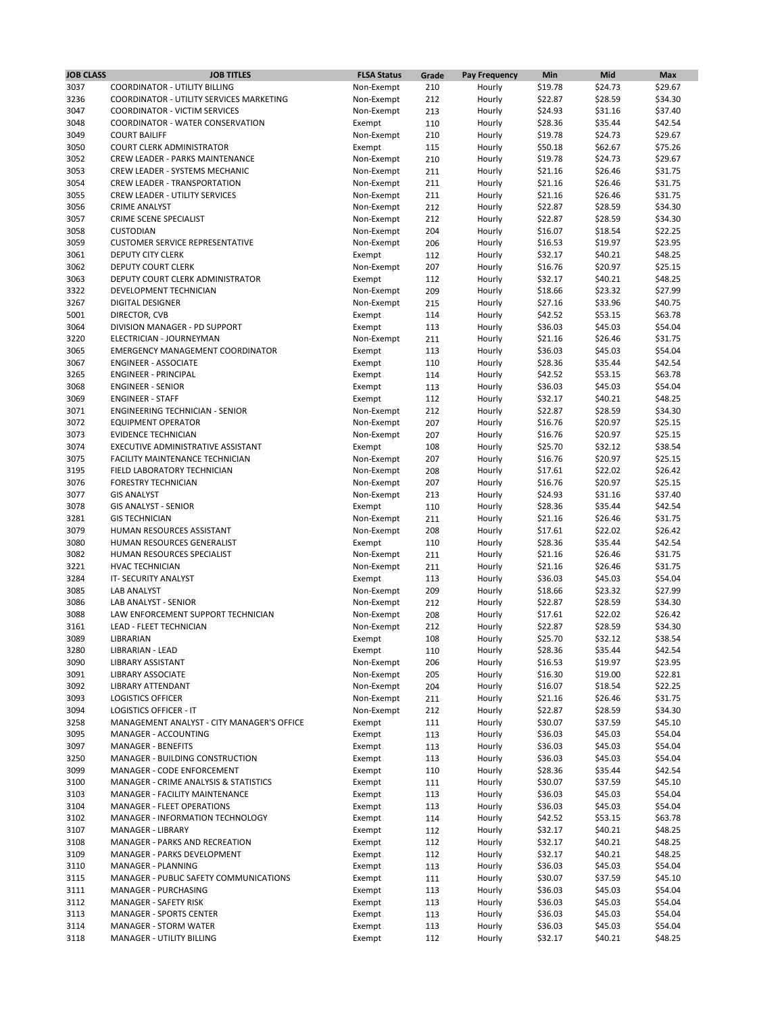| <b>JOB CLASS</b> | <b>JOB TITLES</b>                               | <b>FLSA Status</b> | Grade | <b>Pay Frequency</b> | Min     | <b>Mid</b> | <b>Max</b> |
|------------------|-------------------------------------------------|--------------------|-------|----------------------|---------|------------|------------|
| 3037             | <b>COORDINATOR - UTILITY BILLING</b>            | Non-Exempt         | 210   | Hourly               | \$19.78 | \$24.73    | \$29.67    |
| 3236             | <b>COORDINATOR - UTILITY SERVICES MARKETING</b> | Non-Exempt         | 212   | Hourly               | \$22.87 | \$28.59    | \$34.30    |
| 3047             | <b>COORDINATOR - VICTIM SERVICES</b>            | Non-Exempt         | 213   | Hourly               | \$24.93 | \$31.16    | \$37.40    |
| 3048             | <b>COORDINATOR - WATER CONSERVATION</b>         |                    |       |                      | \$28.36 | \$35.44    | \$42.54    |
|                  |                                                 | Exempt             | 110   | Hourly               |         |            |            |
| 3049             | <b>COURT BAILIFF</b>                            | Non-Exempt         | 210   | Hourly               | \$19.78 | \$24.73    | \$29.67    |
| 3050             | <b>COURT CLERK ADMINISTRATOR</b>                | Exempt             | 115   | Hourly               | \$50.18 | \$62.67    | \$75.26    |
| 3052             | <b>CREW LEADER - PARKS MAINTENANCE</b>          | Non-Exempt         | 210   | Hourly               | \$19.78 | \$24.73    | \$29.67    |
| 3053             | CREW LEADER - SYSTEMS MECHANIC                  | Non-Exempt         | 211   | Hourly               | \$21.16 | \$26.46    | \$31.75    |
| 3054             | <b>CREW LEADER - TRANSPORTATION</b>             | Non-Exempt         | 211   | Hourly               | \$21.16 | \$26.46    | \$31.75    |
| 3055             | <b>CREW LEADER - UTILITY SERVICES</b>           | Non-Exempt         | 211   | Hourly               | \$21.16 | \$26.46    | \$31.75    |
| 3056             | <b>CRIME ANALYST</b>                            | Non-Exempt         | 212   | Hourly               | \$22.87 | \$28.59    | \$34.30    |
| 3057             | <b>CRIME SCENE SPECIALIST</b>                   | Non-Exempt         | 212   | Hourly               | \$22.87 | \$28.59    | \$34.30    |
| 3058             | <b>CUSTODIAN</b>                                | Non-Exempt         | 204   | Hourly               | \$16.07 | \$18.54    | \$22.25    |
| 3059             | <b>CUSTOMER SERVICE REPRESENTATIVE</b>          | Non-Exempt         | 206   | Hourly               | \$16.53 | \$19.97    | \$23.95    |
|                  |                                                 |                    |       |                      |         |            |            |
| 3061             | <b>DEPUTY CITY CLERK</b>                        | Exempt             | 112   | Hourly               | \$32.17 | \$40.21    | \$48.25    |
| 3062             | <b>DEPUTY COURT CLERK</b>                       | Non-Exempt         | 207   | Hourly               | \$16.76 | \$20.97    | \$25.15    |
| 3063             | DEPUTY COURT CLERK ADMINISTRATOR                | Exempt             | 112   | Hourly               | \$32.17 | \$40.21    | \$48.25    |
| 3322             | DEVELOPMENT TECHNICIAN                          | Non-Exempt         | 209   | Hourly               | \$18.66 | \$23.32    | \$27.99    |
| 3267             | <b>DIGITAL DESIGNER</b>                         | Non-Exempt         | 215   | Hourly               | \$27.16 | \$33.96    | \$40.75    |
| 5001             | DIRECTOR, CVB                                   | Exempt             | 114   | Hourly               | \$42.52 | \$53.15    | \$63.78    |
| 3064             | DIVISION MANAGER - PD SUPPORT                   | Exempt             | 113   | Hourly               | \$36.03 | \$45.03    | \$54.04    |
| 3220             | ELECTRICIAN - JOURNEYMAN                        | Non-Exempt         | 211   | Hourly               | \$21.16 | \$26.46    | \$31.75    |
| 3065             | <b>EMERGENCY MANAGEMENT COORDINATOR</b>         | Exempt             | 113   | Hourly               | \$36.03 | \$45.03    | \$54.04    |
| 3067             | <b>ENGINEER - ASSOCIATE</b>                     | Exempt             | 110   | Hourly               | \$28.36 | \$35.44    | \$42.54    |
| 3265             | <b>ENGINEER - PRINCIPAL</b>                     |                    |       |                      | \$42.52 | \$53.15    | \$63.78    |
|                  |                                                 | Exempt             | 114   | Hourly               |         |            |            |
| 3068             | <b>ENGINEER - SENIOR</b>                        | Exempt             | 113   | Hourly               | \$36.03 | \$45.03    | \$54.04    |
| 3069             | <b>ENGINEER - STAFF</b>                         | Exempt             | 112   | Hourly               | \$32.17 | \$40.21    | \$48.25    |
| 3071             | <b>ENGINEERING TECHNICIAN - SENIOR</b>          | Non-Exempt         | 212   | Hourly               | \$22.87 | \$28.59    | \$34.30    |
| 3072             | <b>EQUIPMENT OPERATOR</b>                       | Non-Exempt         | 207   | Hourly               | \$16.76 | \$20.97    | \$25.15    |
| 3073             | <b>EVIDENCE TECHNICIAN</b>                      | Non-Exempt         | 207   | Hourly               | \$16.76 | \$20.97    | \$25.15    |
| 3074             | EXECUTIVE ADMINISTRATIVE ASSISTANT              | Exempt             | 108   | Hourly               | \$25.70 | \$32.12    | \$38.54    |
| 3075             | FACILITY MAINTENANCE TECHNICIAN                 | Non-Exempt         | 207   | Hourly               | \$16.76 | \$20.97    | \$25.15    |
| 3195             | FIELD LABORATORY TECHNICIAN                     | Non-Exempt         | 208   | Hourly               | \$17.61 | \$22.02    | \$26.42    |
| 3076             | <b>FORESTRY TECHNICIAN</b>                      | Non-Exempt         | 207   | Hourly               | \$16.76 | \$20.97    | \$25.15    |
| 3077             | <b>GIS ANALYST</b>                              | Non-Exempt         | 213   | Hourly               | \$24.93 | \$31.16    | \$37.40    |
| 3078             | <b>GIS ANALYST - SENIOR</b>                     |                    |       |                      | \$28.36 |            |            |
|                  |                                                 | Exempt             | 110   | Hourly               |         | \$35.44    | \$42.54    |
| 3281             | <b>GIS TECHNICIAN</b>                           | Non-Exempt         | 211   | Hourly               | \$21.16 | \$26.46    | \$31.75    |
| 3079             | HUMAN RESOURCES ASSISTANT                       | Non-Exempt         | 208   | Hourly               | \$17.61 | \$22.02    | \$26.42    |
| 3080             | HUMAN RESOURCES GENERALIST                      | Exempt             | 110   | Hourly               | \$28.36 | \$35.44    | \$42.54    |
| 3082             | HUMAN RESOURCES SPECIALIST                      | Non-Exempt         | 211   | Hourly               | \$21.16 | \$26.46    | \$31.75    |
| 3221             | <b>HVAC TECHNICIAN</b>                          | Non-Exempt         | 211   | Hourly               | \$21.16 | \$26.46    | \$31.75    |
| 3284             | IT-SECURITY ANALYST                             | Exempt             | 113   | Hourly               | \$36.03 | \$45.03    | \$54.04    |
| 3085             | LAB ANALYST                                     | Non-Exempt         | 209   | Hourly               | \$18.66 | \$23.32    | \$27.99    |
| 3086             | LAB ANALYST - SENIOR                            | Non-Exempt         | 212   | Hourly               | \$22.87 | \$28.59    | \$34.30    |
| 3088             | LAW ENFORCEMENT SUPPORT TECHNICIAN              | Non-Exempt         | 208   | Hourly               | \$17.61 | \$22.02    | \$26.42    |
| 3161             | <b>LEAD - FLEET TECHNICIAN</b>                  | Non-Exempt         | 212   | Hourly               | \$22.87 | \$28.59    | \$34.30    |
| 3089             | LIBRARIAN                                       | Exempt             | 108   | Hourly               | \$25.70 | \$32.12    | \$38.54    |
| 3280             | <b>LIBRARIAN - LEAD</b>                         | Exempt             | 110   | Hourly               | \$28.36 | \$35.44    | \$42.54    |
|                  |                                                 |                    |       |                      |         |            |            |
| 3090             | LIBRARY ASSISTANT                               | Non-Exempt         | 206   | Hourly               | \$16.53 | \$19.97    | \$23.95    |
| 3091             | <b>LIBRARY ASSOCIATE</b>                        | Non-Exempt         | 205   | Hourly               | \$16.30 | \$19.00    | \$22.81    |
| 3092             | <b>LIBRARY ATTENDANT</b>                        | Non-Exempt         | 204   | Hourly               | \$16.07 | \$18.54    | \$22.25    |
| 3093             | <b>LOGISTICS OFFICER</b>                        | Non-Exempt         | 211   | Hourly               | \$21.16 | \$26.46    | \$31.75    |
| 3094             | <b>LOGISTICS OFFICER - IT</b>                   | Non-Exempt         | 212   | Hourly               | \$22.87 | \$28.59    | \$34.30    |
| 3258             | MANAGEMENT ANALYST - CITY MANAGER'S OFFICE      | Exempt             | 111   | Hourly               | \$30.07 | \$37.59    | \$45.10    |
| 3095             | MANAGER - ACCOUNTING                            | Exempt             | 113   | Hourly               | \$36.03 | \$45.03    | \$54.04    |
| 3097             | <b>MANAGER - BENEFITS</b>                       | Exempt             | 113   | Hourly               | \$36.03 | \$45.03    | \$54.04    |
| 3250             | MANAGER - BUILDING CONSTRUCTION                 | Exempt             | 113   | Hourly               | \$36.03 | \$45.03    | \$54.04    |
| 3099             | MANAGER - CODE ENFORCEMENT                      | Exempt             | 110   | Hourly               | \$28.36 | \$35.44    | \$42.54    |
| 3100             | MANAGER - CRIME ANALYSIS & STATISTICS           | Exempt             | 111   | Hourly               | \$30.07 | \$37.59    | \$45.10    |
| 3103             | MANAGER - FACILITY MAINTENANCE                  | Exempt             | 113   | Hourly               | \$36.03 | \$45.03    | \$54.04    |
| 3104             | <b>MANAGER - FLEET OPERATIONS</b>               |                    | 113   |                      | \$36.03 | \$45.03    | \$54.04    |
|                  |                                                 | Exempt             |       | Hourly               |         |            |            |
| 3102             | MANAGER - INFORMATION TECHNOLOGY                | Exempt             | 114   | Hourly               | \$42.52 | \$53.15    | \$63.78    |
| 3107             | MANAGER - LIBRARY                               | Exempt             | 112   | Hourly               | \$32.17 | \$40.21    | \$48.25    |
| 3108             | MANAGER - PARKS AND RECREATION                  | Exempt             | 112   | Hourly               | \$32.17 | \$40.21    | \$48.25    |
| 3109             | MANAGER - PARKS DEVELOPMENT                     | Exempt             | 112   | Hourly               | \$32.17 | \$40.21    | \$48.25    |
| 3110             | MANAGER - PLANNING                              | Exempt             | 113   | Hourly               | \$36.03 | \$45.03    | \$54.04    |
| 3115             | MANAGER - PUBLIC SAFETY COMMUNICATIONS          | Exempt             | 111   | Hourly               | \$30.07 | \$37.59    | \$45.10    |
| 3111             | <b>MANAGER - PURCHASING</b>                     | Exempt             | 113   | Hourly               | \$36.03 | \$45.03    | \$54.04    |
| 3112             | <b>MANAGER - SAFETY RISK</b>                    | Exempt             | 113   | Hourly               | \$36.03 | \$45.03    | \$54.04    |
| 3113             | <b>MANAGER - SPORTS CENTER</b>                  | Exempt             | 113   | Hourly               | \$36.03 | \$45.03    | \$54.04    |
| 3114             | <b>MANAGER - STORM WATER</b>                    | Exempt             | 113   | Hourly               | \$36.03 | \$45.03    | \$54.04    |
| 3118             | <b>MANAGER - UTILITY BILLING</b>                | Exempt             | 112   | Hourly               | \$32.17 | \$40.21    | \$48.25    |
|                  |                                                 |                    |       |                      |         |            |            |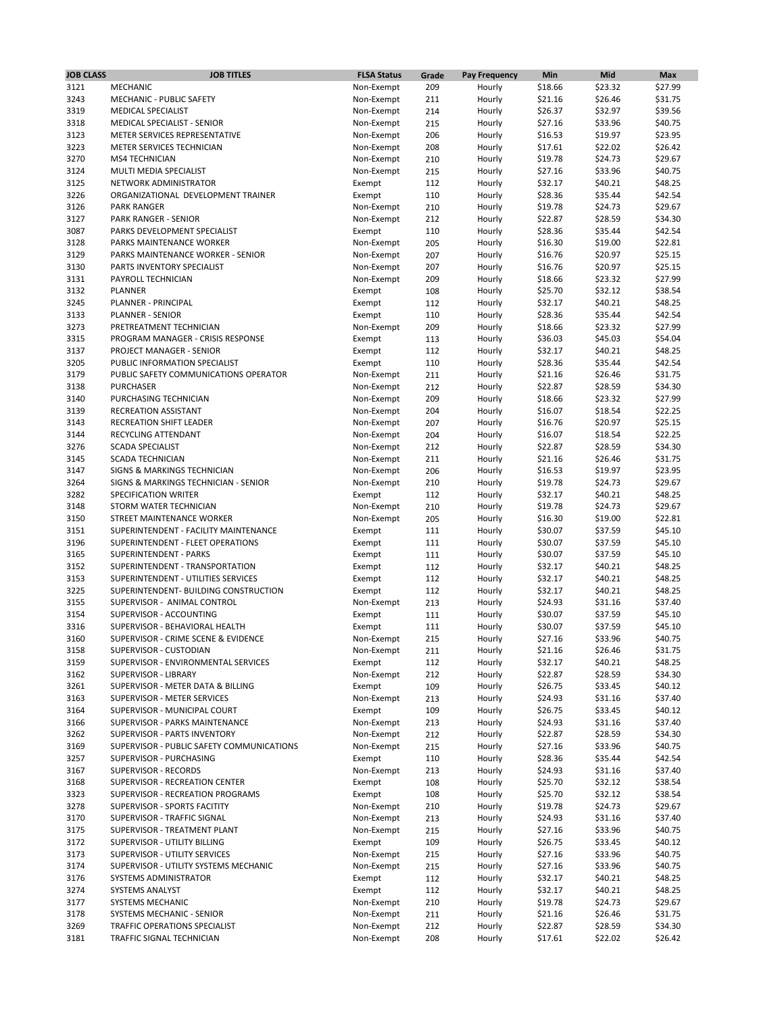| <b>JOB CLASS</b> | <b>JOB TITLES</b>                         | <b>FLSA Status</b> | Grade | <b>Pay Frequency</b> | Min     | Mid     | <b>Max</b> |
|------------------|-------------------------------------------|--------------------|-------|----------------------|---------|---------|------------|
| 3121             | <b>MECHANIC</b>                           | Non-Exempt         | 209   | Hourly               | \$18.66 | \$23.32 | \$27.99    |
| 3243             | <b>MECHANIC - PUBLIC SAFETY</b>           | Non-Exempt         | 211   | Hourly               | \$21.16 | \$26.46 | \$31.75    |
| 3319             | <b>MEDICAL SPECIALIST</b>                 | Non-Exempt         | 214   | Hourly               | \$26.37 | \$32.97 | \$39.56    |
| 3318             | <b>MEDICAL SPECIALIST - SENIOR</b>        | Non-Exempt         | 215   | Hourly               | \$27.16 | \$33.96 | \$40.75    |
| 3123             | METER SERVICES REPRESENTATIVE             | Non-Exempt         | 206   | Hourly               | \$16.53 | \$19.97 | \$23.95    |
| 3223             | METER SERVICES TECHNICIAN                 | Non-Exempt         | 208   | Hourly               | \$17.61 | \$22.02 | \$26.42    |
| 3270             | <b>MS4 TECHNICIAN</b>                     | Non-Exempt         | 210   | Hourly               | \$19.78 | \$24.73 | \$29.67    |
| 3124             | MULTI MEDIA SPECIALIST                    | Non-Exempt         | 215   | Hourly               | \$27.16 | \$33.96 | \$40.75    |
| 3125             | NETWORK ADMINISTRATOR                     | Exempt             | 112   | Hourly               | \$32.17 | \$40.21 | \$48.25    |
| 3226             | ORGANIZATIONAL DEVELOPMENT TRAINER        | Exempt             | 110   | Hourly               | \$28.36 | \$35.44 | \$42.54    |
| 3126             | <b>PARK RANGER</b>                        | Non-Exempt         | 210   | Hourly               | \$19.78 | \$24.73 | \$29.67    |
| 3127             | <b>PARK RANGER - SENIOR</b>               | Non-Exempt         | 212   | Hourly               | \$22.87 | \$28.59 | \$34.30    |
| 3087             | PARKS DEVELOPMENT SPECIALIST              | Exempt             | 110   | Hourly               | \$28.36 | \$35.44 | \$42.54    |
| 3128             | PARKS MAINTENANCE WORKER                  | Non-Exempt         | 205   | Hourly               | \$16.30 | \$19.00 | \$22.81    |
| 3129             | PARKS MAINTENANCE WORKER - SENIOR         | Non-Exempt         | 207   | Hourly               | \$16.76 | \$20.97 | \$25.15    |
| 3130             | PARTS INVENTORY SPECIALIST                | Non-Exempt         | 207   | Hourly               | \$16.76 | \$20.97 | \$25.15    |
| 3131             | PAYROLL TECHNICIAN                        | Non-Exempt         | 209   | Hourly               | \$18.66 | \$23.32 | \$27.99    |
| 3132             | <b>PLANNER</b>                            | Exempt             | 108   | Hourly               | \$25.70 | \$32.12 | \$38.54    |
| 3245             | PLANNER - PRINCIPAL                       | Exempt             | 112   | Hourly               | \$32.17 | \$40.21 | \$48.25    |
| 3133             | <b>PLANNER - SENIOR</b>                   | Exempt             | 110   | Hourly               | \$28.36 | \$35.44 | \$42.54    |
| 3273             | PRETREATMENT TECHNICIAN                   | Non-Exempt         | 209   | Hourly               | \$18.66 | \$23.32 | \$27.99    |
| 3315             | PROGRAM MANAGER - CRISIS RESPONSE         | Exempt             | 113   | Hourly               | \$36.03 | \$45.03 | \$54.04    |
| 3137             | PROJECT MANAGER - SENIOR                  | Exempt             | 112   | Hourly               | \$32.17 | \$40.21 | \$48.25    |
| 3205             | PUBLIC INFORMATION SPECIALIST             | Exempt             | 110   | Hourly               | \$28.36 | \$35.44 | \$42.54    |
| 3179             | PUBLIC SAFETY COMMUNICATIONS OPERATOR     |                    |       |                      |         |         |            |
| 3138             | <b>PURCHASER</b>                          | Non-Exempt         | 211   | Hourly               | \$21.16 | \$26.46 | \$31.75    |
|                  |                                           | Non-Exempt         | 212   | Hourly               | \$22.87 | \$28.59 | \$34.30    |
| 3140             | PURCHASING TECHNICIAN                     | Non-Exempt         | 209   | Hourly               | \$18.66 | \$23.32 | \$27.99    |
| 3139             | <b>RECREATION ASSISTANT</b>               | Non-Exempt         | 204   | Hourly               | \$16.07 | \$18.54 | \$22.25    |
| 3143             | <b>RECREATION SHIFT LEADER</b>            | Non-Exempt         | 207   | Hourly               | \$16.76 | \$20.97 | \$25.15    |
| 3144             | RECYCLING ATTENDANT                       | Non-Exempt         | 204   | Hourly               | \$16.07 | \$18.54 | \$22.25    |
| 3276             | <b>SCADA SPECIALIST</b>                   | Non-Exempt         | 212   | Hourly               | \$22.87 | \$28.59 | \$34.30    |
| 3145             | <b>SCADA TECHNICIAN</b>                   | Non-Exempt         | 211   | Hourly               | \$21.16 | \$26.46 | \$31.75    |
| 3147             | <b>SIGNS &amp; MARKINGS TECHNICIAN</b>    | Non-Exempt         | 206   | Hourly               | \$16.53 | \$19.97 | \$23.95    |
| 3264             | SIGNS & MARKINGS TECHNICIAN - SENIOR      | Non-Exempt         | 210   | Hourly               | \$19.78 | \$24.73 | \$29.67    |
| 3282             | SPECIFICATION WRITER                      | Exempt             | 112   | Hourly               | \$32.17 | \$40.21 | \$48.25    |
| 3148             | STORM WATER TECHNICIAN                    | Non-Exempt         | 210   | Hourly               | \$19.78 | \$24.73 | \$29.67    |
| 3150             | STREET MAINTENANCE WORKER                 | Non-Exempt         | 205   | Hourly               | \$16.30 | \$19.00 | \$22.81    |
| 3151             | SUPERINTENDENT - FACILITY MAINTENANCE     | Exempt             | 111   | Hourly               | \$30.07 | \$37.59 | \$45.10    |
| 3196             | SUPERINTENDENT - FLEET OPERATIONS         | Exempt             | 111   | Hourly               | \$30.07 | \$37.59 | \$45.10    |
| 3165             | SUPERINTENDENT - PARKS                    | Exempt             | 111   | Hourly               | \$30.07 | \$37.59 | \$45.10    |
| 3152             | SUPERINTENDENT - TRANSPORTATION           | Exempt             | 112   | Hourly               | \$32.17 | \$40.21 | \$48.25    |
| 3153             | SUPERINTENDENT - UTILITIES SERVICES       | Exempt             | 112   | Hourly               | \$32.17 | \$40.21 | \$48.25    |
| 3225             | SUPERINTENDENT- BUILDING CONSTRUCTION     | Exempt             | 112   | Hourly               | \$32.17 | \$40.21 | \$48.25    |
| 3155             | SUPERVISOR - ANIMAL CONTROL               | Non-Exempt         | 213   | Hourly               | \$24.93 | \$31.16 | \$37.40    |
| 3154             | SUPERVISOR - ACCOUNTING                   | Exempt             | 111   | Hourly               | \$30.07 | \$37.59 | \$45.10    |
| 3316             | SUPERVISOR - BEHAVIORAL HEALTH            | Exempt             | 111   | Hourly               | \$30.07 | \$37.59 | \$45.10    |
| 3160             | SUPERVISOR - CRIME SCENE & EVIDENCE       | Non-Exempt         | 215   | Hourly               | \$27.16 | \$33.96 | \$40.75    |
| 3158             | SUPERVISOR - CUSTODIAN                    | Non-Exempt         | 211   | Hourly               | \$21.16 | \$26.46 | \$31.75    |
| 3159             | SUPERVISOR - ENVIRONMENTAL SERVICES       | Exempt             | 112   | Hourly               | \$32.17 | \$40.21 | \$48.25    |
| 3162             | SUPERVISOR - LIBRARY                      | Non-Exempt         | 212   | Hourly               | \$22.87 | \$28.59 | \$34.30    |
| 3261             | SUPERVISOR - METER DATA & BILLING         | Exempt             | 109   | Hourly               | \$26.75 | \$33.45 | \$40.12    |
| 3163             | SUPERVISOR - METER SERVICES               | Non-Exempt         | 213   | Hourly               | \$24.93 | \$31.16 | \$37.40    |
| 3164             | SUPERVISOR - MUNICIPAL COURT              | Exempt             | 109   | Hourly               | \$26.75 | \$33.45 | \$40.12    |
| 3166             | SUPERVISOR - PARKS MAINTENANCE            | Non-Exempt         | 213   | Hourly               | \$24.93 | \$31.16 | \$37.40    |
| 3262             | SUPERVISOR - PARTS INVENTORY              | Non-Exempt         | 212   | Hourly               | \$22.87 | \$28.59 | \$34.30    |
| 3169             | SUPERVISOR - PUBLIC SAFETY COMMUNICATIONS | Non-Exempt         | 215   | Hourly               | \$27.16 | \$33.96 | \$40.75    |
| 3257             | SUPERVISOR - PURCHASING                   | Exempt             | 110   | Hourly               | \$28.36 | \$35.44 | \$42.54    |
| 3167             | SUPERVISOR - RECORDS                      | Non-Exempt         | 213   | Hourly               | \$24.93 | \$31.16 | \$37.40    |
| 3168             | SUPERVISOR - RECREATION CENTER            | Exempt             | 108   | Hourly               | \$25.70 | \$32.12 | \$38.54    |
| 3323             | SUPERVISOR - RECREATION PROGRAMS          | Exempt             | 108   | Hourly               | \$25.70 | \$32.12 | \$38.54    |
| 3278             | SUPERVISOR - SPORTS FACITITY              | Non-Exempt         | 210   | Hourly               | \$19.78 | \$24.73 | \$29.67    |
| 3170             | SUPERVISOR - TRAFFIC SIGNAL               | Non-Exempt         | 213   | Hourly               | \$24.93 | \$31.16 | \$37.40    |
| 3175             | SUPERVISOR - TREATMENT PLANT              | Non-Exempt         | 215   | Hourly               | \$27.16 | \$33.96 | \$40.75    |
| 3172             | SUPERVISOR - UTILITY BILLING              | Exempt             | 109   | Hourly               | \$26.75 | \$33.45 | \$40.12    |
| 3173             | SUPERVISOR - UTILITY SERVICES             | Non-Exempt         | 215   | Hourly               | \$27.16 | \$33.96 | \$40.75    |
| 3174             | SUPERVISOR - UTILITY SYSTEMS MECHANIC     | Non-Exempt         | 215   | Hourly               | \$27.16 | \$33.96 | \$40.75    |
| 3176             | SYSTEMS ADMINISTRATOR                     | Exempt             | 112   | Hourly               | \$32.17 | \$40.21 | \$48.25    |
| 3274             | <b>SYSTEMS ANALYST</b>                    | Exempt             | 112   | Hourly               | \$32.17 | \$40.21 | \$48.25    |
| 3177             | SYSTEMS MECHANIC                          | Non-Exempt         | 210   | Hourly               | \$19.78 | \$24.73 | \$29.67    |
| 3178             | <b>SYSTEMS MECHANIC - SENIOR</b>          | Non-Exempt         | 211   | Hourly               | \$21.16 | \$26.46 | \$31.75    |
| 3269             | TRAFFIC OPERATIONS SPECIALIST             | Non-Exempt         | 212   | Hourly               | \$22.87 | \$28.59 | \$34.30    |
| 3181             | TRAFFIC SIGNAL TECHNICIAN                 | Non-Exempt         | 208   | Hourly               | \$17.61 | \$22.02 | \$26.42    |